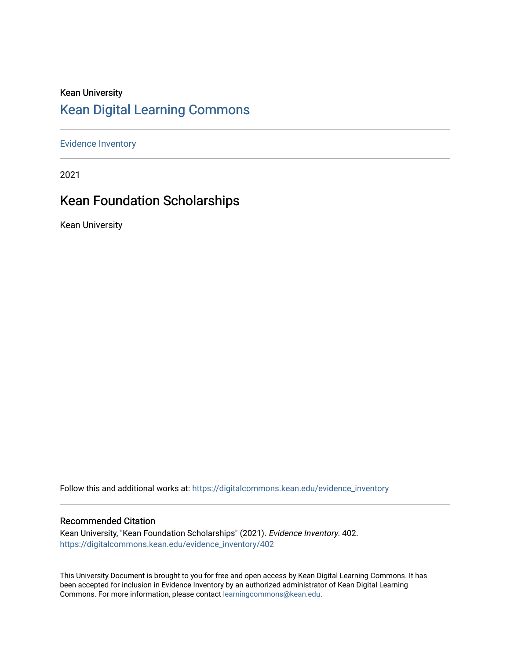#### Kean University [Kean Digital Learning Commons](https://digitalcommons.kean.edu/)

[Evidence Inventory](https://digitalcommons.kean.edu/evidence_inventory) 

2021

#### Kean Foundation Scholarships

Kean University

Follow this and additional works at: [https://digitalcommons.kean.edu/evidence\\_inventory](https://digitalcommons.kean.edu/evidence_inventory?utm_source=digitalcommons.kean.edu%2Fevidence_inventory%2F402&utm_medium=PDF&utm_campaign=PDFCoverPages)

#### Recommended Citation

Kean University, "Kean Foundation Scholarships" (2021). Evidence Inventory. 402. [https://digitalcommons.kean.edu/evidence\\_inventory/402](https://digitalcommons.kean.edu/evidence_inventory/402?utm_source=digitalcommons.kean.edu%2Fevidence_inventory%2F402&utm_medium=PDF&utm_campaign=PDFCoverPages)

This University Document is brought to you for free and open access by Kean Digital Learning Commons. It has been accepted for inclusion in Evidence Inventory by an authorized administrator of Kean Digital Learning Commons. For more information, please contact [learningcommons@kean.edu.](mailto:learningcommons@kean.edu)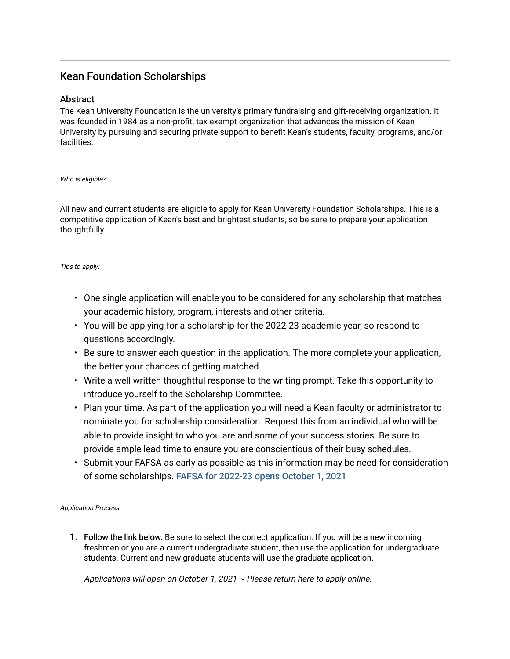#### Kean Foundation Scholarships

#### Abstract

The Kean University Foundation is the university's primary fundraising and gift-receiving organization. It was founded in 1984 as a non-profit, tax exempt organization that advances the mission of Kean University by pursuing and securing private support to benefit Kean's students, faculty, programs, and/or facilities.

Who is eligible?

All new and current students are eligible to apply for Kean University Foundation Scholarships. This is a competitive application of Kean's best and brightest students, so be sure to prepare your application thoughtfully.

Tips to apply:

- One single application will enable you to be considered for any scholarship that matches your academic history, program, interests and other criteria.
- You will be applying for a scholarship for the 2022-23 academic year, so respond to questions accordingly.
- Be sure to answer each question in the application. The more complete your application, the better your chances of getting matched.
- Write a well written thoughtful response to the writing prompt. Take this opportunity to introduce yourself to the Scholarship Committee.
- Plan your time. As part of the application you will need a Kean faculty or administrator to nominate you for scholarship consideration. Request this from an individual who will be able to provide insight to who you are and some of your success stories. Be sure to provide ample lead time to ensure you are conscientious of their busy schedules.
- Submit your FAFSA as early as possible as this information may be need for consideration of some scholarships. [FAFSA for 2022-23 opens October 1, 2021](https://studentaid.gov/h/apply-for-aid/fafsa)

Application Process:

1. Follow the link below. Be sure to select the correct application. If you will be a new incoming freshmen or you are a current undergraduate student, then use the application for undergraduate students. Current and new graduate students will use the graduate application.

Applications will open on October 1, 2021  $\sim$  Please return here to apply online.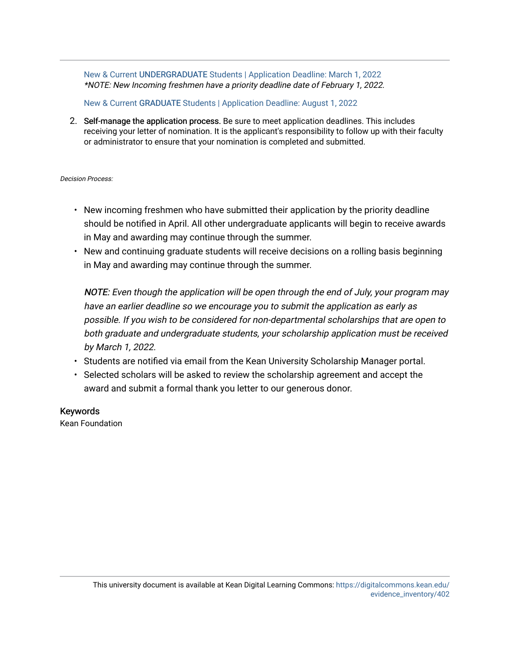New & Current UNDERGRADUATE [Students | Application Deadline: March 1, 2022](https://kean.scholarships.ngwebsolutions.com/ScholarX_ApplyForScholarship.aspx?applicationformid=20214&AYID=1477)  \*NOTE: New Incoming freshmen have a priority deadline date of February 1, 2022.

New & Current GRADUATE [Students | Application Deadline: August 1, 2022](https://kean.scholarships.ngwebsolutions.com/ScholarX_ApplyForScholarship.aspx?applicationformid=20238&AYID=1477)

2. Self-manage the application process. Be sure to meet application deadlines. This includes receiving your letter of nomination. It is the applicant's responsibility to follow up with their faculty or administrator to ensure that your nomination is completed and submitted.

Decision Process:

- New incoming freshmen who have submitted their application by the priority deadline should be notified in April. All other undergraduate applicants will begin to receive awards in May and awarding may continue through the summer.
- New and continuing graduate students will receive decisions on a rolling basis beginning in May and awarding may continue through the summer.

NOTE: Even though the application will be open through the end of July, your program may have an earlier deadline so we encourage you to submit the application as early as possible. If you wish to be considered for non-departmental scholarships that are open to both graduate and undergraduate students, your scholarship application must be received by March 1, 2022.

- Students are notified via email from the Kean University Scholarship Manager portal.
- Selected scholars will be asked to review the scholarship agreement and accept the award and submit a formal thank you letter to our generous donor.

Keywords

Kean Foundation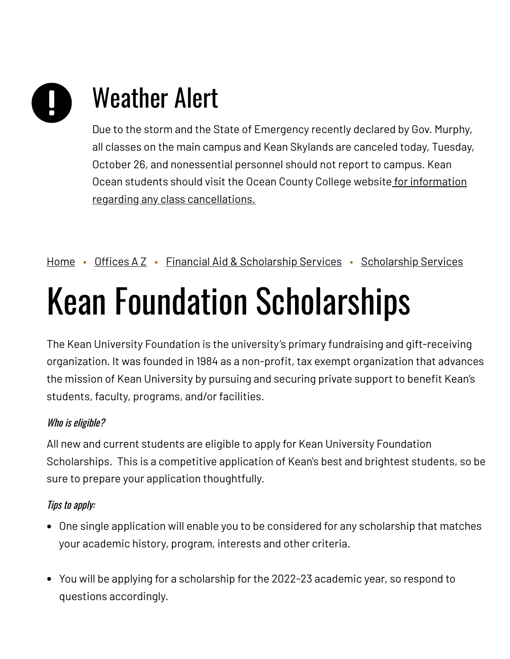# Weather Alert

Due to the storm and the State of Emergency recently declared by Gov. Murphy, all classes on the main campus and Kean Skylands are canceled today, Tuesday, October 26, and nonessential personnel should not report to campus. Kean Ocean students should visit the Ocean County College website for information regarding any class [cancellations.](https://www.ocean.edu/)

[Home](https://www.kean.edu/) • [Offices](https://www.kean.edu/offices) A Z • Financial Aid & [Scholarship](https://www.kean.edu/offices/financial-aid/scholarship-services) Services • Scholarship Services

## Kean Foundation Scholarships

The Kean University Foundation is the university's primary fundraising and gift-receiving organization. It was founded in 1984 as a non-profit, tax exempt organization that advances the mission of Kean University by pursuing and securing private support to benefit Kean's students, faculty, programs, and/or facilities.

#### Who is eligible?

All new and current students are eligible to apply for Kean University Foundation Scholarships. This is a competitive application of Kean's best and brightest students, so be sure to prepare your application thoughtfully.

#### Tips to apply:

- One single application will enable you to be considered for any scholarship that matches your academic history, program, interests and other criteria.
- You will be applying for a scholarship for the 2022-23 academic year, so respond to questions accordingly.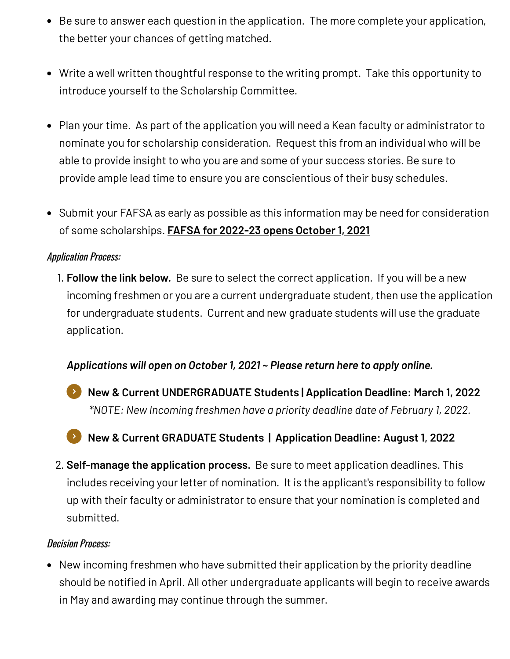- Be sure to answer each question in the application. The more complete your application, the better your chances of getting matched.
- Write a well written thoughtful response to the writing prompt. Take this opportunity to introduce yourself to the Scholarship Committee.
- Plan your time. As part of the application you will need a Kean faculty or administrator to nominate you for scholarship consideration. Request this from an individual who will be able to provide insight to who you are and some of your success stories. Be sure to provide ample lead time to ensure you are conscientious of their busy schedules.
- Submit your FAFSA as early as possible as this information may be need for consideration of some scholarships. **FAFSA for [2022-23](https://studentaid.gov/h/apply-for-aid/fafsa) opens October 1, 2021**

#### Application Process:

1. **Follow the link below.** Be sure to select the correct application. If you will be a new incoming freshmen or you are a current undergraduate student, then use the application for undergraduate students. Current and new graduate students will use the graduate application.

#### *Applications will open on October 1, 2021 ~ Please return here to apply online.*

- *\*NOTE: New Incoming freshmen have a priority deadline date of February 1, 2022.* **New & Current [UNDERGRADUATE](https://kean.scholarships.ngwebsolutions.com/ScholarX_ApplyForScholarship.aspx?applicationformid=20214&AYID=1477) Students | Application Deadline: March 1, 2022**
- **New & Current GRADUATE Students | [Application](https://kean.scholarships.ngwebsolutions.com/ScholarX_ApplyForScholarship.aspx?applicationformid=20238&AYID=1477) Deadline: August 1, 2022**
- 2. **Self-manage the application process.** Be sure to meet application deadlines. This includes receiving your letter of nomination. It is the applicant's responsibility to follow up with their faculty or administrator to ensure that your nomination is completed and submitted.

#### Decision Process:

New incoming freshmen who have submitted their application by the priority deadline should be notified in April. All other undergraduate applicants will begin to receive awards in May and awarding may continue through the summer.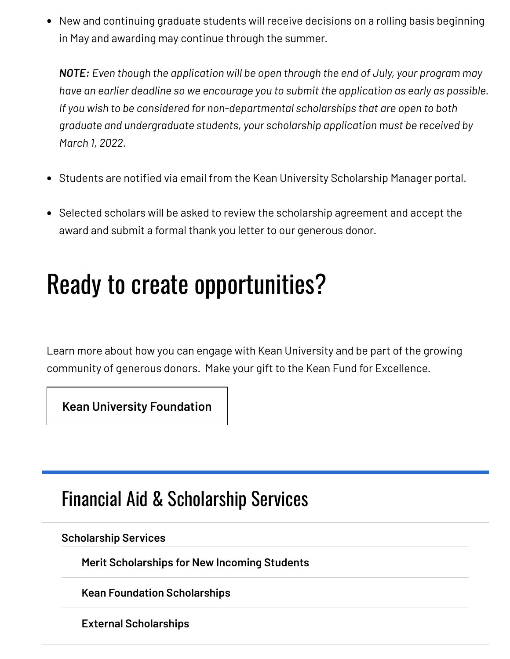New and continuing graduate students will receive decisions on a rolling basis beginning in May and awarding may continue through the summer.

*NOTE: Even though the application will be open through the end of July, your program may have an earlier deadline so we encourage you to submit the application as early as possible. If you wish to be considered for non-departmental scholarships that are open to both graduate and undergraduate students, your scholarship application must be received by March 1, 2022.*

- Students are notified via email from the Kean University Scholarship Manager portal.
- Selected scholars will be asked to review the scholarship agreement and accept the award and submit a formal thank you letter to our generous donor.

### Ready to create opportunities?

Learn more about how you can engage with Kean University and be part of the growing community of generous donors. Make your gift to the Kean Fund for Excellence.

**[Kean University Foundation](https://www.keanfoundation.org/foundation)**

#### Financial Aid & [Scholarship](https://www.kean.edu/offices/financial-aid) Services

**[Scholarship](https://www.kean.edu/offices/financial-aid/scholarship-services) Services**

**Merit [Scholarships](https://www.kean.edu/offices/financial-aid/scholarship-services/merit-scholarships-new-incoming-students) for New Incoming Students**

**Kean Foundation [Scholarships](https://www.kean.edu/offices/financial-aid/scholarship-services/kean-foundation-scholarships)**

**External [Scholarships](https://www.kean.edu/offices/financial-aid/scholarship-services/external-scholarships)**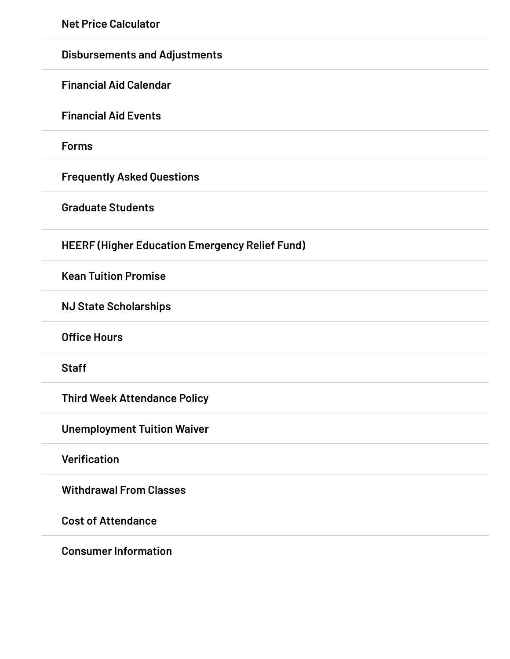**Net Price [Calculator](https://www.kean.edu/offices/financial-aid/financial-aid-estimators)**

| <b>Disbursements and Adjustments</b>                  |
|-------------------------------------------------------|
| <b>Financial Aid Calendar</b>                         |
| <b>Financial Aid Events</b>                           |
| <b>Forms</b>                                          |
| <b>Frequently Asked Questions</b>                     |
| <b>Graduate Students</b>                              |
| <b>HEERF (Higher Education Emergency Relief Fund)</b> |
| <b>Kean Tuition Promise</b>                           |
| <b>NJ State Scholarships</b>                          |
| <b>Office Hours</b>                                   |
| <b>Staff</b>                                          |
| <b>Third Week Attendance Policy</b>                   |
| <b>Unemployment Tuition Waiver</b>                    |
| <b>Verification</b>                                   |
| <b>Withdrawal From Classes</b>                        |
| <b>Cost of Attendance</b>                             |
|                                                       |

**Consumer [Information](https://www.kean.edu/offices/financial-aid/consumer-information)**